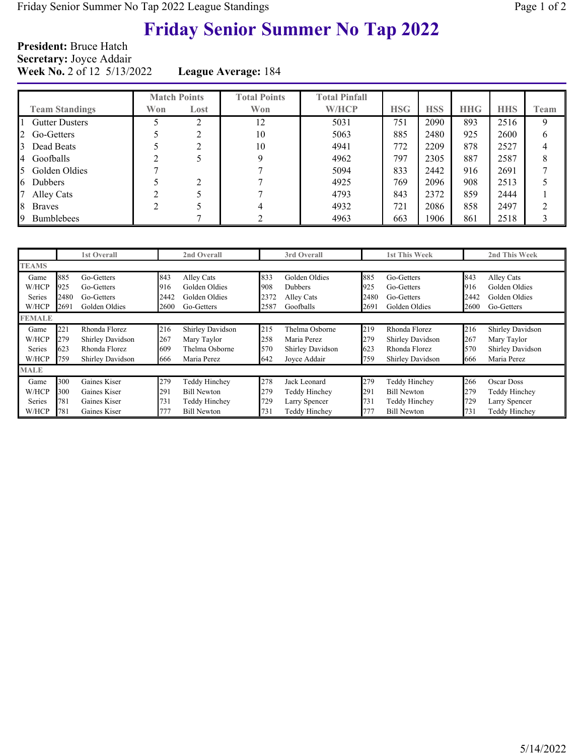# Friday Senior Summer No Tap 2022

#### President: Bruce Hatch Secretary: Joyce Addair Week No. 2 of 12 5/13/2022 League Average: 184

|   | <b>Team Standings</b> | <b>Match Points</b><br>Won | Lost          | <b>Total Points</b><br>Won | <b>Total Pinfall</b><br><b>W/HCP</b> | <b>HSG</b> | <b>HSS</b> | <b>HHG</b> | <b>HHS</b> | Team           |
|---|-----------------------|----------------------------|---------------|----------------------------|--------------------------------------|------------|------------|------------|------------|----------------|
|   | <b>Gutter Dusters</b> |                            | $\bigcap$     | 12                         | 5031                                 | 751        | 2090       | 893        | 2516       | 9              |
|   | Go-Getters            |                            |               | 10                         | 5063                                 | 885        | 2480       | 925        | 2600       | 6              |
|   | Dead Beats            |                            |               | 10                         | 4941                                 | 772        | 2209       | 878        | 2527       | 4              |
| 4 | Goofballs             |                            |               |                            | 4962                                 | 797        | 2305       | 887        | 2587       | 8              |
|   | Golden Oldies         |                            |               |                            | 5094                                 | 833        | 2442       | 916        | 2691       |                |
|   | 6 Dubbers             |                            | $\mathcal{L}$ |                            | 4925                                 | 769        | 2096       | 908        | 2513       |                |
|   | Alley Cats            |                            |               |                            | 4793                                 | 843        | 2372       | 859        | 2444       |                |
| 8 | <b>Braves</b>         |                            |               |                            | 4932                                 | 721        | 2086       | 858        | 2497       | $\mathfrak{D}$ |
|   | <b>Bumblebees</b>     |                            |               |                            | 4963                                 | 663        | 1906       | 861        | 2518       | 3              |

|               |      | 1st Overall      |      | 2nd Overall          |      | 3rd Overall          |      | <b>1st This Week</b> |      | 2nd This Week        |
|---------------|------|------------------|------|----------------------|------|----------------------|------|----------------------|------|----------------------|
| <b>TEAMS</b>  |      |                  |      |                      |      |                      |      |                      |      |                      |
| Game          | 885  | Go-Getters       | 843  | <b>Alley Cats</b>    | 833  | Golden Oldies        | 885  | Go-Getters           | 843  | Alley Cats           |
| W/HCP         | 925  | Go-Getters       | 916  | Golden Oldies        | 908  | <b>Dubbers</b>       | 925  | Go-Getters           | 916  | Golden Oldies        |
| Series        | 2480 | Go-Getters       | 2442 | Golden Oldies        | 2372 | <b>Alley Cats</b>    | 2480 | Go-Getters           | 2442 | Golden Oldies        |
| W/HCP         | 2691 | Golden Oldies    | 2600 | Go-Getters           | 2587 | Goofballs            | 2691 | Golden Oldies        | 2600 | Go-Getters           |
| <b>FEMALE</b> |      |                  |      |                      |      |                      |      |                      |      |                      |
| Game          | 221  | Rhonda Florez    | 216  | Shirley Davidson     | 215  | Thelma Osborne       | 219  | Rhonda Florez        | 216  | Shirley Davidson     |
| W/HCP         | 279  | Shirley Davidson | 267  | Mary Taylor          | 258  | Maria Perez          | 279  | Shirley Davidson     | 267  | Mary Taylor          |
| Series        | 623  | Rhonda Florez    | 609  | Thelma Osborne       | 570  | Shirley Davidson     | 623  | Rhonda Florez        | 570  | Shirley Davidson     |
| W/HCP         | 759  | Shirley Davidson | 666  | Maria Perez          | 642  | Joyce Addair         | 759  | Shirley Davidson     | 666  | Maria Perez          |
| <b>MALE</b>   |      |                  |      |                      |      |                      |      |                      |      |                      |
| Game          | 300  | Gaines Kiser     | 279  | <b>Teddy Hinchey</b> | 278  | Jack Leonard         | 279  | <b>Teddy Hinchey</b> | 266  | Oscar Doss           |
| W/HCP         | 300  | Gaines Kiser     | 291  | <b>Bill Newton</b>   | 279  | <b>Teddy Hinchey</b> | 291  | <b>Bill Newton</b>   | 279  | Teddy Hinchey        |
| Series        | 781  | Gaines Kiser     | 731  | <b>Teddy Hinchey</b> | 729  | Larry Spencer        | 731  | Teddy Hinchey        | 729  | Larry Spencer        |
| W/HCP         | 781  | Gaines Kiser     | 777  | <b>Bill Newton</b>   | 731  | <b>Teddy Hinchey</b> | 777  | <b>Bill Newton</b>   | 731  | <b>Teddy Hinchey</b> |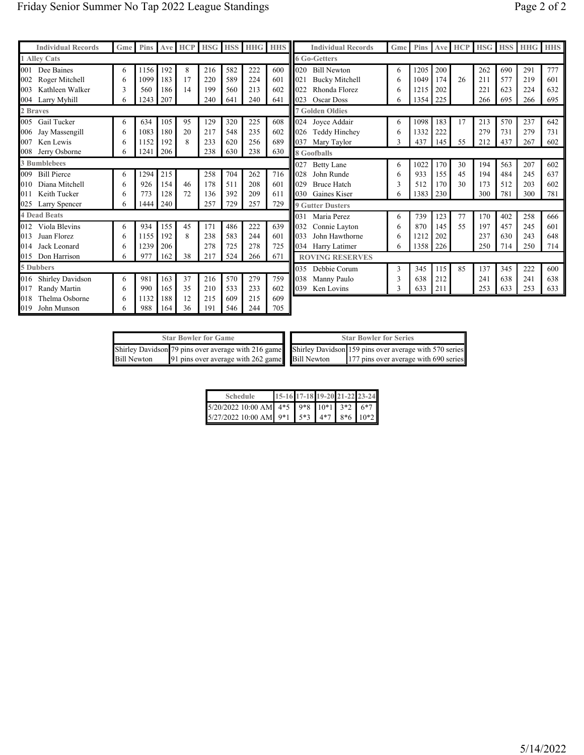| <b>Individual Records</b> | Gme |      |     |    |     |     | Pins Ave HCP HSG HSS HHG | <b>HHS</b> |     | <b>Individual Records</b> | Gme | Pins |     |    |     |     | Ave HCP HSG HSS HHG | <b>HHS</b> |
|---------------------------|-----|------|-----|----|-----|-----|--------------------------|------------|-----|---------------------------|-----|------|-----|----|-----|-----|---------------------|------------|
| <b>1 Alley Cats</b>       |     |      |     |    |     |     |                          |            |     | <b>6 Go-Getters</b>       |     |      |     |    |     |     |                     |            |
|                           |     |      |     |    |     |     |                          |            |     |                           |     |      |     |    |     |     |                     |            |
| Dee Baines<br>001         | 6   | 1156 | 192 | 8  | 216 | 582 | 222                      | 600        | 020 | <b>Bill Newton</b>        | 6   | 1205 | 200 |    | 262 | 690 | 291                 | 777        |
| Roger Mitchell<br>002     | 6   | 1099 | 183 | 17 | 220 | 589 | 224                      | 601        | 021 | <b>Bucky Mitchell</b>     | 6   | 1049 | 174 | 26 | 211 | 577 | 219                 | 601        |
| Kathleen Walker<br>003    | 3   | 560  | 186 | 14 | 199 | 560 | 213                      | 602        | 022 | Rhonda Florez             | 6   | 1215 | 202 |    | 221 | 623 | 224                 | 632        |
| Larry Myhill<br>004       | 6   | 1243 | 207 |    | 240 | 641 | 240                      | 641        | 023 | Oscar Doss                | 6   | 1354 | 225 |    | 266 | 695 | 266                 | 695        |
| 2 Braves                  |     |      |     |    |     |     |                          |            |     | <b>7 Golden Oldies</b>    |     |      |     |    |     |     |                     |            |
| Gail Tucker<br>005        | 6   | 634  | 105 | 95 | 129 | 320 | 225                      | 608        |     | 024 Joyce Addair          | 6   | 1098 | 183 | 17 | 213 | 570 | 237                 | 642        |
| Jay Massengill<br>006     | 6   | 1083 | 180 | 20 | 217 | 548 | 235                      | 602        |     | 026 Teddy Hinchey         | 6   | 1332 | 222 |    | 279 | 731 | 279                 | 731        |
| Ken Lewis<br>007          | 6   | 1152 | 192 | 8  | 233 | 620 | 256                      | 689        | 037 | Mary Taylor               | 3   | 437  | 145 | 55 | 212 | 437 | 267                 | 602        |
| Jerry Osborne<br>008      | 6   | 1241 | 206 |    | 238 | 630 | 238                      | 630        |     | 8 Goofballs               |     |      |     |    |     |     |                     |            |
| <b>3 Bumblebees</b>       |     |      |     |    |     |     |                          |            | 027 | <b>Betty Lane</b>         | 6   | 1022 | 170 | 30 | 194 | 563 | 207                 | 602        |
| <b>Bill Pierce</b><br>009 | 6   | 1294 | 215 |    | 258 | 704 | 262                      | 716        | 028 | John Runde                | 6   | 933  | 155 | 45 | 194 | 484 | 245                 | 637        |
| Diana Mitchell<br>010     | 6   | 926  | 154 | 46 | 178 | 511 | 208                      | 601        | 029 | <b>Bruce Hatch</b>        | 3   | 512  | 170 | 30 | 173 | 512 | 203                 | 602        |
| Keith Tucker<br>011       | 6   | 773  | 128 | 72 | 136 | 392 | 209                      | 611        | 030 | <b>Gaines Kiser</b>       | 6   | 1383 | 230 |    | 300 | 781 | 300                 | 781        |
| 025<br>Larry Spencer      | 6   | 1444 | 240 |    | 257 | 729 | 257                      | 729        |     | <b>9 Gutter Dusters</b>   |     |      |     |    |     |     |                     |            |
| <b>4 Dead Beats</b>       |     |      |     |    |     |     |                          |            | 031 | Maria Perez               | 6   | 739  | 123 | 77 | 170 | 402 | 258                 | 666        |
| Viola Blevins<br>012      | 6   | 934  | 155 | 45 | 171 | 486 | 222                      | 639        | 032 | Connie Layton             | 6   | 870  | 145 | 55 | 197 | 457 | 245                 | 601        |
| Juan Florez<br>013        | 6   | 1155 | 192 | 8  | 238 | 583 | 244                      | 601        | 033 | John Hawthorne            | 6   | 1212 | 202 |    | 237 | 630 | 243                 | 648        |
| Jack Leonard<br>014       | 6   | 1239 | 206 |    | 278 | 725 | 278                      | 725        |     | 034 Harry Latimer         | 6   | 1358 | 226 |    | 250 | 714 | 250                 | 714        |
| Don Harrison<br>015       | 6   | 977  | 162 | 38 | 217 | 524 | 266                      | 671        |     | <b>ROVING RESERVES</b>    |     |      |     |    |     |     |                     |            |
| 5 Dubbers                 |     |      |     |    |     |     |                          |            | 035 | Debbie Corum              | 3   | 345  | 115 | 85 | 137 | 345 | 222                 | 600        |
| Shirley Davidson<br>016   | 6   | 981  | 163 | 37 | 216 | 570 | 279                      | 759        | 038 | Manny Paulo               | 3   | 638  | 212 |    | 241 | 638 | 241                 | 638        |
| Randy Martin<br>017       | 6   | 990  | 165 | 35 | 210 | 533 | 233                      | 602        |     | 039 Ken Lovins            | 3   | 633  | 211 |    | 253 | 633 | 253                 | 633        |
| Thelma Osborne<br>018     | 6   | 1132 | 188 | 12 | 215 | 609 | 215                      | 609        |     |                           |     |      |     |    |     |     |                     |            |
| John Munson<br>019        | 6   | 988  | 164 | 36 | 191 | 546 | 244                      | 705        |     |                           |     |      |     |    |     |     |                     |            |

|                    | <b>Star Bowler for Game</b>                         |  |
|--------------------|-----------------------------------------------------|--|
|                    | Shirley Davidson 79 pins over average with 216 game |  |
| <b>Bill Newton</b> | 91 pins over average with 262 game                  |  |

|  |               | Star Bowler for Series<br>Shirley Davidson 159 pins over average with 570 series |
|--|---------------|----------------------------------------------------------------------------------|
|  |               |                                                                                  |
|  | e Bill Newton | 177 pins over average with 690 series                                            |

| <b>Schedule</b> |  |  | 15-16 17-18 19-20 21-22 23-24 |
|-----------------|--|--|-------------------------------|
|                 |  |  |                               |
|                 |  |  |                               |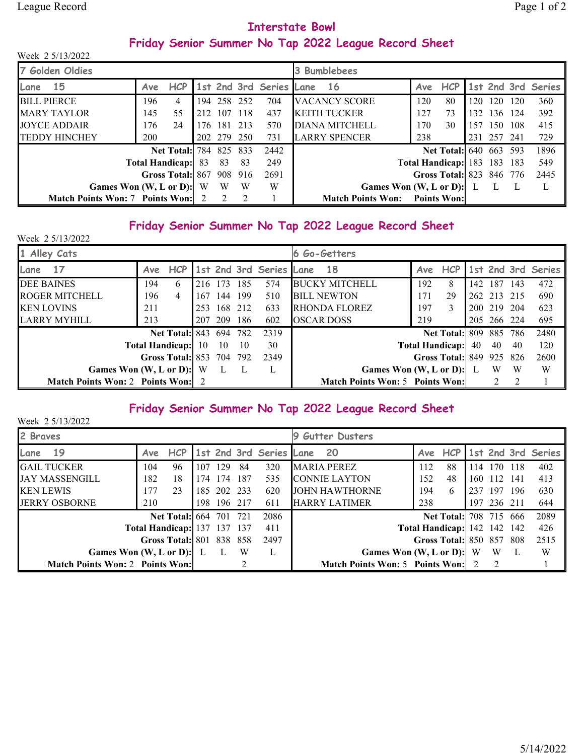## Interstate Bowl Friday Senior Summer No Tap 2022 League Record Sheet

| Week 2 5/13/2022                       |     |                         |     |             |               |                         |                                      |                            |                          |     |         |         |                    |
|----------------------------------------|-----|-------------------------|-----|-------------|---------------|-------------------------|--------------------------------------|----------------------------|--------------------------|-----|---------|---------|--------------------|
| 7 Golden Oldies                        |     |                         |     |             |               |                         | <b>Bumblebees</b>                    |                            |                          |     |         |         |                    |
| <b>15</b><br>Lane                      | Ave | <b>HCP</b>              |     |             |               | 1st 2nd 3rd Series Lane | <b>16</b>                            | Ave                        | <b>HCP</b>               |     |         |         | 1st 2nd 3rd Series |
| <b>BILL PIERCE</b>                     | 196 | 4                       |     | 194 258 252 |               | 704                     | <b>VACANCY SCORE</b>                 | 120                        | 80                       | 120 | 120 120 |         | 360                |
| <b>MARY TAYLOR</b>                     | 145 | 55                      | 212 | 107         | 118           | 437                     | <b>KEITH TUCKER</b>                  | 127                        | 73                       | 132 |         | 136 124 | 392                |
| <b>JOYCE ADDAIR</b>                    | 176 | 24                      |     | 176 181     | 213           | 570                     | <b>DIANA MITCHELL</b>                | 170                        | 30                       | 157 | 150     | 108     | 415                |
| <b>TEDDY HINCHEY</b>                   | 200 |                         |     | 202 279 250 |               | 731                     | <b>LARRY SPENCER</b>                 | 238                        |                          | 231 | 257 241 |         | 729                |
|                                        |     | <b>Net Total:</b> 784   |     |             | 825 833       | 2442                    |                                      |                            | <b>Net Total:</b> 640    |     | 663 593 |         | 1896               |
|                                        |     | <b>Total Handicap:</b>  | 83  | 83          | 83            | 249                     |                                      | <b>Total Handicap:</b> 183 |                          |     | 183 183 |         | 549                |
|                                        |     | <b>Gross Total: 867</b> |     |             | 908 916       | 2691                    |                                      |                            | Gross Total: 823 846 776 |     |         |         | 2445               |
| Games Won $(W, L or D)$ : W            |     |                         |     | W           | W             | W                       | Games Won $(W, L \text{ or } D)$ : L |                            |                          |     |         |         | L                  |
| <b>Match Points Won: 7 Points Won:</b> |     |                         |     |             | $\mathcal{D}$ |                         | <b>Match Points Won:</b>             |                            | <b>Points Won:</b>       |     |         |         |                    |

### Friday Senior Summer No Tap 2022 League Record Sheet

| Week 2 5/13/2022                       |     |                                 |     |              |      |                         |                       |                                        |     |                               |    |               |    |                    |
|----------------------------------------|-----|---------------------------------|-----|--------------|------|-------------------------|-----------------------|----------------------------------------|-----|-------------------------------|----|---------------|----|--------------------|
| 1 Alley Cats                           |     |                                 |     |              |      |                         | 6 Go-Getters          |                                        |     |                               |    |               |    |                    |
| 17<br>Lane                             | Ave | <b>HCP</b>                      |     |              |      | 1st 2nd 3rd Series Lane | -18                   |                                        |     | Ave HCP                       |    |               |    | 1st 2nd 3rd Series |
| <b>DEE BAINES</b>                      | 194 | 6                               |     | 216 173      | -185 | 574                     | <b>BUCKY MITCHELL</b> |                                        | 192 | 8                             |    | 142 187 143   |    | 472                |
| <b>ROGER MITCHELL</b>                  | 196 | $\overline{4}$                  | 167 | 144 199      |      | 510                     | <b>BILL NEWTON</b>    |                                        | 171 | 29                            |    | 262 213 215   |    | 690                |
| <b>KEN LOVINS</b>                      | 211 |                                 | 253 | 168 212      |      | 633                     | <b>RHONDA FLOREZ</b>  |                                        | 197 | 3                             |    | 200 219 204   |    | 623                |
| <b>LARRY MYHILL</b>                    | 213 |                                 |     | 207 209 186  |      | 602                     | <b>OSCAR DOSS</b>     |                                        | 219 |                               |    | 205 266 224   |    | 695                |
|                                        |     | <b>Net Total:</b> 843 694 782   |     |              |      | 2319                    |                       |                                        |     | <b>Net Total:</b> 809 885 786 |    |               |    | 2480               |
|                                        |     | <b>Total Handicap:</b>          | 10  | - 10         | - 10 | 30                      |                       |                                        |     | <b>Total Handicap:</b>        | 40 | -40           | 40 | 120                |
|                                        |     | <b>Gross Total: 853 704 792</b> |     |              |      | 2349                    |                       |                                        |     | Gross Total: 849 925 826      |    |               |    | 2600               |
| Games Won $(W, L or D)$ : W            |     |                                 |     | $\mathbf{L}$ |      |                         |                       | Games Won $(W, L or D)$ : L            |     |                               |    | W             | W  | W                  |
| <b>Match Points Won: 2 Points Won:</b> |     |                                 |     |              |      |                         |                       | <b>Match Points Won: 5 Points Won:</b> |     |                               |    | $\mathcal{D}$ |    |                    |

### Friday Senior Summer No Tap 2022 League Record Sheet

| Week 2 5/13/2022                       |     |                                    |             |      |                         |                                     |                          |     |                                    |     |                |      |                            |
|----------------------------------------|-----|------------------------------------|-------------|------|-------------------------|-------------------------------------|--------------------------|-----|------------------------------------|-----|----------------|------|----------------------------|
| 2 Braves                               |     |                                    |             |      |                         | <b>Gutter Dusters</b>               |                          |     |                                    |     |                |      |                            |
| 19<br>Lane                             | Ave | <b>HCP</b>                         |             |      | 1st 2nd 3rd Series Lane | <b>20</b>                           |                          |     |                                    |     |                |      | Ave HCP 1st 2nd 3rd Series |
| <b>GAIL TUCKER</b>                     | 104 | 96                                 | 107 129     | -84  | 320                     | <b>MARIA PEREZ</b>                  |                          | 112 | 88                                 |     | 114 170 118    |      | 402                        |
| <b>JAY MASSENGILL</b>                  | 182 | 18                                 | 174 174     | -187 | 535                     | <b>CONNIE LAYTON</b>                |                          | 152 | 48                                 |     | 160 112        | -141 | 413                        |
| <b>KEN LEWIS</b>                       | 177 | 23                                 | 185 202 233 |      | 620                     | <b>JOHN HAWTHORNE</b>               |                          | 194 | 6                                  | 237 | 197 196        |      | 630                        |
| <b>JERRY OSBORNE</b>                   | 210 |                                    | 198 196 217 |      | 611                     | <b>HARRY LATIMER</b>                |                          | 238 |                                    |     | 197 236 211    |      | 644                        |
|                                        |     | <b>Net Total:</b> 664 701 721      |             |      | 2086                    |                                     |                          |     | <b>Net Total:</b> 708 715 666      |     |                |      | 2089                       |
|                                        |     | <b>Total Handicap:</b> 137 137 137 |             |      | 411                     |                                     |                          |     | <b>Total Handicap:</b> 142 142 142 |     |                |      | 426                        |
|                                        |     | <b>Gross Total: 801 838 858</b>    |             |      | 2497                    |                                     |                          |     | <b>Gross Total: 850 857 808</b>    |     |                |      | 2515                       |
| Games Won $(W, L or D)$ : L            |     |                                    |             | W    |                         |                                     | Games Won (W, L or D): W |     |                                    |     | W <sub>\</sub> | L    | W                          |
| <b>Match Points Won: 2 Points Won:</b> |     |                                    |             |      |                         | Match Points Won: 5 Points Won: 2 2 |                          |     |                                    |     |                |      |                            |